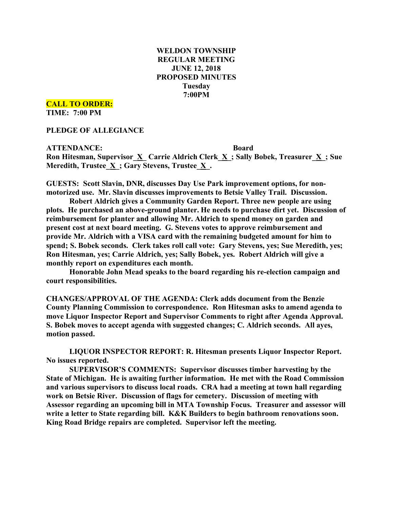# **WELDON TOWNSHIP REGULAR MEETING JUNE 12, 2018 PROPOSED MINUTES Tuesday 7:00PM**

**CALL TO ORDER:**

**TIME: 7:00 PM**

**PLEDGE OF ALLEGIANCE**

**ATTENDANCE: Board Ron Hitesman, Supervisor\_X\_ Carrie Aldrich Clerk\_X\_; Sally Bobek, Treasurer\_X\_; Sue Meredith, Trustee**  $\underline{X}$ **; Gary Stevens, Trustee**  $\underline{X}$ **.** 

**GUESTS: Scott Slavin, DNR, discusses Day Use Park improvement options, for nonmotorized use. Mr. Slavin discusses improvements to Betsie Valley Trail. Discussion.**

**Robert Aldrich gives a Community Garden Report. Three new people are using plots. He purchased an above-ground planter. He needs to purchase dirt yet. Discussion of reimbursement for planter and allowing Mr. Aldrich to spend money on garden and present cost at next board meeting. G. Stevens votes to approve reimbursement and provide Mr. Aldrich with a VISA card with the remaining budgeted amount for him to spend; S. Bobek seconds. Clerk takes roll call vote: Gary Stevens, yes; Sue Meredith, yes; Ron Hitesman, yes; Carrie Aldrich, yes; Sally Bobek, yes. Robert Aldrich will give a monthly report on expenditures each month.**

**Honorable John Mead speaks to the board regarding his re-election campaign and court responsibilities.**

**CHANGES/APPROVAL OF THE AGENDA: Clerk adds document from the Benzie County Planning Commission to correspondence. Ron Hitesman asks to amend agenda to move Liquor Inspector Report and Supervisor Comments to right after Agenda Approval. S. Bobek moves to accept agenda with suggested changes; C. Aldrich seconds. All ayes, motion passed.**

**LIQUOR INSPECTOR REPORT: R. Hitesman presents Liquor Inspector Report. No issues reported.**

**SUPERVISOR'S COMMENTS: Supervisor discusses timber harvesting by the State of Michigan. He is awaiting further information. He met with the Road Commission and various supervisors to discuss local roads. CRA had a meeting at town hall regarding work on Betsie River. Discussion of flags for cemetery. Discussion of meeting with Assessor regarding an upcoming bill in MTA Township Focus. Treasurer and assessor will write a letter to State regarding bill. K&K Builders to begin bathroom renovations soon. King Road Bridge repairs are completed. Supervisor left the meeting.**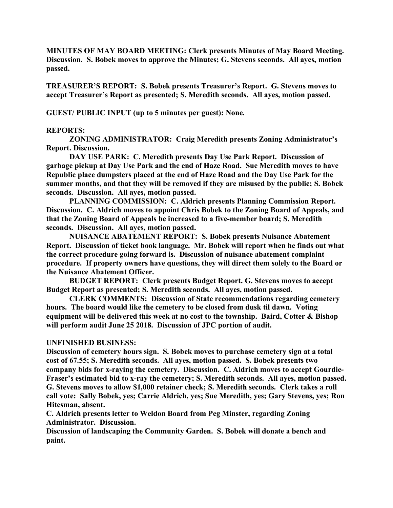**MINUTES OF MAY BOARD MEETING: Clerk presents Minutes of May Board Meeting. Discussion. S. Bobek moves to approve the Minutes; G. Stevens seconds. All ayes, motion passed.**

**TREASURER'S REPORT: S. Bobek presents Treasurer's Report. G. Stevens moves to accept Treasurer's Report as presented; S. Meredith seconds. All ayes, motion passed.**

**GUEST/ PUBLIC INPUT (up to 5 minutes per guest): None.**

## **REPORTS:**

**ZONING ADMINISTRATOR: Craig Meredith presents Zoning Administrator's Report. Discussion.**

**DAY USE PARK: C. Meredith presents Day Use Park Report. Discussion of garbage pickup at Day Use Park and the end of Haze Road. Sue Meredith moves to have Republic place dumpsters placed at the end of Haze Road and the Day Use Park for the summer months, and that they will be removed if they are misused by the public; S. Bobek seconds. Discussion. All ayes, motion passed.**

**PLANNING COMMISSION: C. Aldrich presents Planning Commission Report. Discussion. C. Aldrich moves to appoint Chris Bobek to the Zoning Board of Appeals, and that the Zoning Board of Appeals be increased to a five-member board; S. Meredith seconds. Discussion. All ayes, motion passed.**

**NUISANCE ABATEMENT REPORT: S. Bobek presents Nuisance Abatement Report. Discussion of ticket book language. Mr. Bobek will report when he finds out what the correct procedure going forward is. Discussion of nuisance abatement complaint procedure. If property owners have questions, they will direct them solely to the Board or the Nuisance Abatement Officer.**

**BUDGET REPORT: Clerk presents Budget Report. G. Stevens moves to accept Budget Report as presented; S. Meredith seconds. All ayes, motion passed.**

**CLERK COMMENTS: Discussion of State recommendations regarding cemetery hours. The board would like the cemetery to be closed from dusk til dawn. Voting equipment will be delivered this week at no cost to the township. Baird, Cotter & Bishop will perform audit June 25 2018. Discussion of JPC portion of audit.**

## **UNFINISHED BUSINESS:**

**Discussion of cemetery hours sign. S. Bobek moves to purchase cemetery sign at a total cost of 67.55; S. Meredith seconds. All ayes, motion passed. S. Bobek presents two company bids for x-raying the cemetery. Discussion. C. Aldrich moves to accept Gourdie-Fraser's estimated bid to x-ray the cemetery; S. Meredith seconds. All ayes, motion passed. G. Stevens moves to allow \$1,000 retainer check; S. Meredith seconds. Clerk takes a roll call vote: Sally Bobek, yes; Carrie Aldrich, yes; Sue Meredith, yes; Gary Stevens, yes; Ron Hitesman, absent.**

**C. Aldrich presents letter to Weldon Board from Peg Minster, regarding Zoning Administrator. Discussion.**

**Discussion of landscaping the Community Garden. S. Bobek will donate a bench and paint.**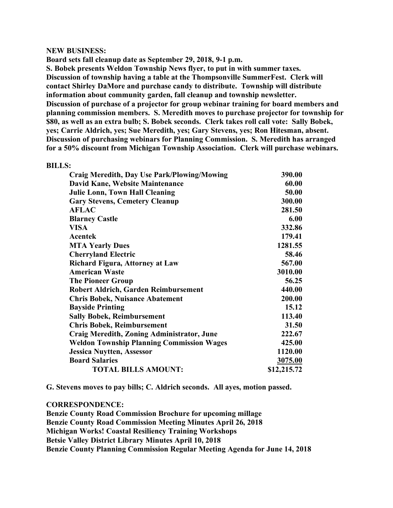#### **NEW BUSINESS:**

**Board sets fall cleanup date as September 29, 2018, 9-1 p.m. S. Bobek presents Weldon Township News flyer, to put in with summer taxes. Discussion of township having a table at the Thompsonville SummerFest. Clerk will contact Shirley DaMore and purchase candy to distribute. Township will distribute information about community garden, fall cleanup and township newsletter. Discussion of purchase of a projector for group webinar training for board members and planning commission members. S. Meredith moves to purchase projector for township for \$80, as well as an extra bulb; S. Bobek seconds. Clerk takes roll call vote: Sally Bobek, yes; Carrie Aldrich, yes; Sue Meredith, yes; Gary Stevens, yes; Ron Hitesman, absent. Discussion of purchasing webinars for Planning Commission. S. Meredith has arranged for a 50% discount from Michigan Township Association. Clerk will purchase webinars.**

## **BILLS:**

| <b>Craig Meredith, Day Use Park/Plowing/Mowing</b> | 390.00      |
|----------------------------------------------------|-------------|
| David Kane, Website Maintenance                    | 60.00       |
| <b>Julie Lonn, Town Hall Cleaning</b>              | 50.00       |
| <b>Gary Stevens, Cemetery Cleanup</b>              | 300.00      |
| <b>AFLAC</b>                                       | 281.50      |
| <b>Blarney Castle</b>                              | 6.00        |
| <b>VISA</b>                                        | 332.86      |
| <b>Acentek</b>                                     | 179.41      |
| <b>MTA Yearly Dues</b>                             | 1281.55     |
| <b>Cherryland Electric</b>                         | 58.46       |
| Richard Figura, Attorney at Law                    | 567.00      |
| <b>American Waste</b>                              | 3010.00     |
| <b>The Pioneer Group</b>                           | 56.25       |
| <b>Robert Aldrich, Garden Reimbursement</b>        | 440.00      |
| <b>Chris Bobek, Nuisance Abatement</b>             | 200.00      |
| <b>Bayside Printing</b>                            | 15.12       |
| <b>Sally Bobek, Reimbursement</b>                  | 113.40      |
| <b>Chris Bobek, Reimbursement</b>                  | 31.50       |
| Craig Meredith, Zoning Administrator, June         | 222.67      |
| <b>Weldon Township Planning Commission Wages</b>   | 425.00      |
| <b>Jessica Nuytten, Assessor</b>                   | 1120.00     |
| <b>Board Salaries</b>                              | 3075.00     |
| <b>TOTAL BILLS AMOUNT:</b>                         | \$12,215.72 |

**G. Stevens moves to pay bills; C. Aldrich seconds. All ayes, motion passed.**

**CORRESPONDENCE:**

**Benzie County Road Commission Brochure for upcoming millage Benzie County Road Commission Meeting Minutes April 26, 2018 Michigan Works! Coastal Resiliency Training Workshops Betsie Valley District Library Minutes April 10, 2018 Benzie County Planning Commission Regular Meeting Agenda for June 14, 2018**